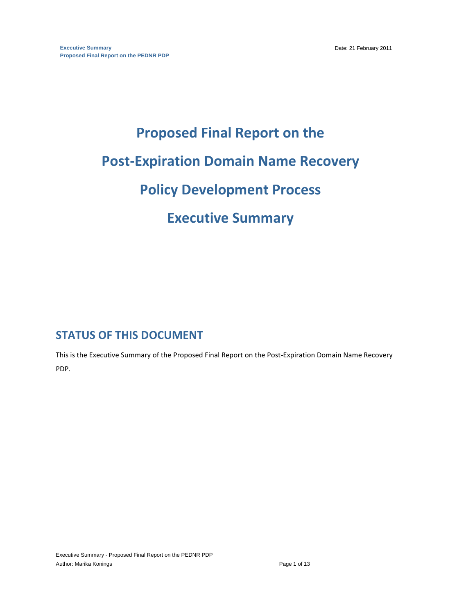# **Proposed Final Report on the Post-Expiration Domain Name Recovery Policy Development Process Executive Summary**

## **STATUS OF THIS DOCUMENT**

This is the Executive Summary of the Proposed Final Report on the Post-Expiration Domain Name Recovery PDP.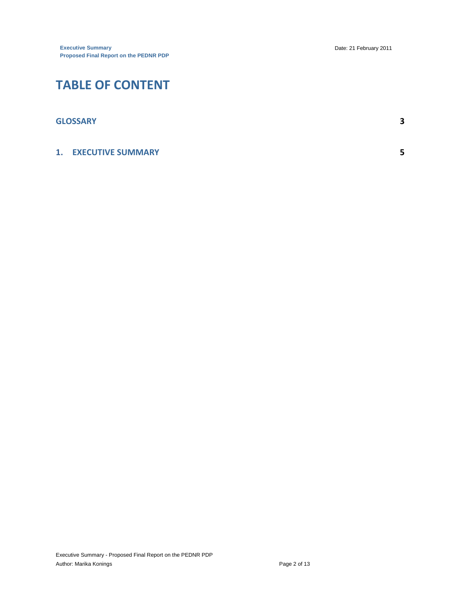# **TABLE OF CONTENT**

| <b>GLOSSARY</b>             | 2 |
|-----------------------------|---|
| <b>1. EXECUTIVE SUMMARY</b> | с |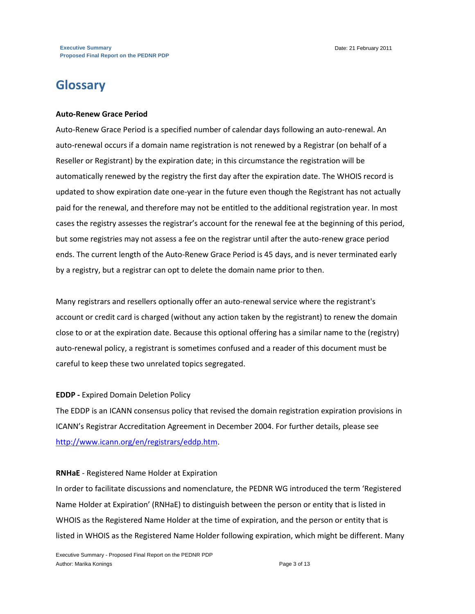# **Glossary**

#### **Auto-Renew Grace Period**

Auto-Renew Grace Period is a specified number of calendar days following an auto-renewal. An auto-renewal occurs if a domain name registration is not renewed by a Registrar (on behalf of a Reseller or Registrant) by the expiration date; in this circumstance the registration will be automatically renewed by the registry the first day after the expiration date. The WHOIS record is updated to show expiration date one-year in the future even though the Registrant has not actually paid for the renewal, and therefore may not be entitled to the additional registration year. In most cases the registry assesses the registrar's account for the renewal fee at the beginning of this period, but some registries may not assess a fee on the registrar until after the auto-renew grace period ends. The current length of the Auto-Renew Grace Period is 45 days, and is never terminated early by a registry, but a registrar can opt to delete the domain name prior to then.

Many registrars and resellers optionally offer an auto-renewal service where the registrant's account or credit card is charged (without any action taken by the registrant) to renew the domain close to or at the expiration date. Because this optional offering has a similar name to the (registry) auto-renewal policy, a registrant is sometimes confused and a reader of this document must be careful to keep these two unrelated topics segregated.

#### **EDDP -** Expired Domain Deletion Policy

The EDDP is an ICANN consensus policy that revised the domain registration expiration provisions in ICANN's Registrar Accreditation Agreement in December 2004. For further details, please see [http://www.icann.org/en/registrars/eddp.htm.](http://www.icann.org/en/registrars/eddp.htm)

#### **RNHaE** - Registered Name Holder at Expiration

In order to facilitate discussions and nomenclature, the PEDNR WG introduced the term 'Registered Name Holder at Expiration' (RNHaE) to distinguish between the person or entity that is listed in WHOIS as the Registered Name Holder at the time of expiration, and the person or entity that is listed in WHOIS as the Registered Name Holder following expiration, which might be different. Many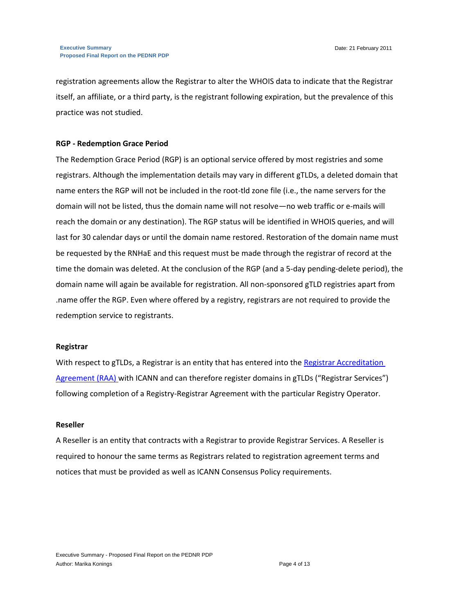registration agreements allow the Registrar to alter the WHOIS data to indicate that the Registrar itself, an affiliate, or a third party, is the registrant following expiration, but the prevalence of this practice was not studied.

#### **RGP - Redemption Grace Period**

The Redemption Grace Period (RGP) is an optional service offered by most registries and some registrars. Although the implementation details may vary in different gTLDs, a deleted domain that name enters the RGP will not be included in the root-tld zone file (i.e., the name servers for the domain will not be listed, thus the domain name will not resolve—no web traffic or e‐mails will reach the domain or any destination). The RGP status will be identified in WHOIS queries, and will last for 30 calendar days or until the domain name restored. Restoration of the domain name must be requested by the RNHaE and this request must be made through the registrar of record at the time the domain was deleted. At the conclusion of the RGP (and a 5-day pending-delete period), the domain name will again be available for registration. All non-sponsored gTLD registries apart from .name offer the RGP. Even where offered by a registry, registrars are not required to provide the redemption service to registrants.

#### **Registrar**

With respect to gTLDs, a Registrar is an entity that has entered into the Registrar Accreditation [Agreement \(RAA\) w](http://www.icann.org/en/registrars/agreements.html)ith ICANN and can therefore register domains in gTLDs ("Registrar Services") following completion of a Registry-Registrar Agreement with the particular Registry Operator.

#### **Reseller**

A Reseller is an entity that contracts with a Registrar to provide Registrar Services. A Reseller is required to honour the same terms as Registrars related to registration agreement terms and notices that must be provided as well as ICANN Consensus Policy requirements.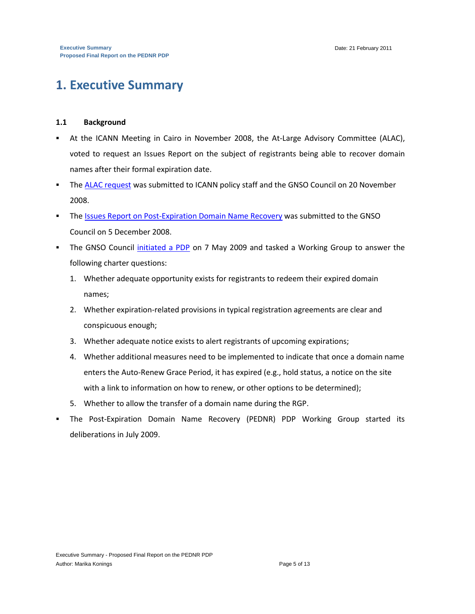# **1. Executive Summary**

#### **1.1 Background**

- At the ICANN Meeting in Cairo in November 2008, the At-Large Advisory Committee (ALAC), voted to request an Issues Report on the subject of registrants being able to recover domain names after their formal expiration date.
- The [ALAC request](http://gnso.icann.org/mailing-lists/archives/council/msg05734.html) was submitted to ICANN policy staff and the GNSO Council on 20 November 2008.
- **The [Issues Report on Post-Expiration Domain Name Recovery](http://gnso.icann.org/issues/post-expiration-recovery/report-05dec08.pdf) was submitted to the GNSO** Council on 5 December 2008.
- The GNSO Council [initiated a PDP](http://gnso.icann.org/resolutions/#200905) on 7 May 2009 and tasked a Working Group to answer the following charter questions:
	- 1. Whether adequate opportunity exists for registrants to redeem their expired domain names;
	- 2. Whether expiration-related provisions in typical registration agreements are clear and conspicuous enough;
	- 3. Whether adequate notice exists to alert registrants of upcoming expirations;
	- 4. Whether additional measures need to be implemented to indicate that once a domain name enters the Auto-Renew Grace Period, it has expired (e.g., hold status, a notice on the site with a link to information on how to renew, or other options to be determined);
	- 5. Whether to allow the transfer of a domain name during the RGP.
- The Post-Expiration Domain Name Recovery (PEDNR) PDP Working Group started its deliberations in July 2009.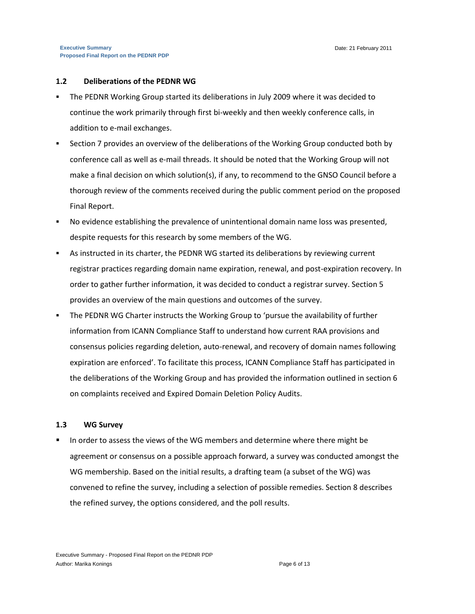#### **1.2 Deliberations of the PEDNR WG**

- The PEDNR Working Group started its deliberations in July 2009 where it was decided to continue the work primarily through first bi-weekly and then weekly conference calls, in addition to e-mail exchanges.
- Section 7 provides an overview of the deliberations of the Working Group conducted both by conference call as well as e-mail threads. It should be noted that the Working Group will not make a final decision on which solution(s), if any, to recommend to the GNSO Council before a thorough review of the comments received during the public comment period on the proposed Final Report.
- No evidence establishing the prevalence of unintentional domain name loss was presented, despite requests for this research by some members of the WG.
- As instructed in its charter, the PEDNR WG started its deliberations by reviewing current registrar practices regarding domain name expiration, renewal, and post-expiration recovery. In order to gather further information, it was decided to conduct a registrar survey. Section 5 provides an overview of the main questions and outcomes of the survey.
- The PEDNR WG Charter instructs the Working Group to 'pursue the availability of further information from ICANN Compliance Staff to understand how current RAA provisions and consensus policies regarding deletion, auto-renewal, and recovery of domain names following expiration are enforced'. To facilitate this process, ICANN Compliance Staff has participated in the deliberations of the Working Group and has provided the information outlined in section 6 on complaints received and Expired Domain Deletion Policy Audits.

#### **1.3 WG Survey**

 In order to assess the views of the WG members and determine where there might be agreement or consensus on a possible approach forward, a survey was conducted amongst the WG membership. Based on the initial results, a drafting team (a subset of the WG) was convened to refine the survey, including a selection of possible remedies. Section 8 describes the refined survey, the options considered, and the poll results.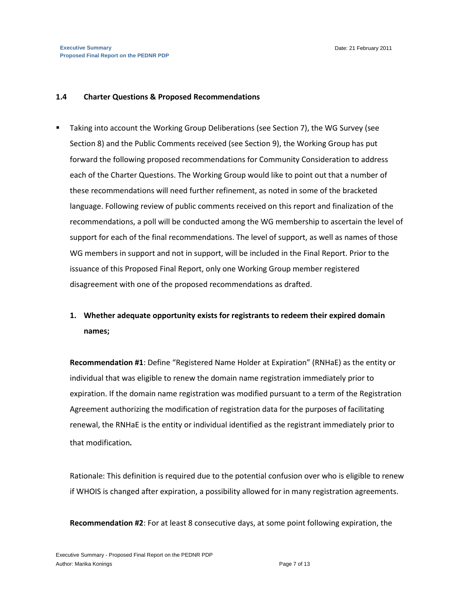#### **1.4 Charter Questions & Proposed Recommendations**

 Taking into account the Working Group Deliberations (see Section 7), the WG Survey (see Section 8) and the Public Comments received (see Section 9), the Working Group has put forward the following proposed recommendations for Community Consideration to address each of the Charter Questions. The Working Group would like to point out that a number of these recommendations will need further refinement, as noted in some of the bracketed language. Following review of public comments received on this report and finalization of the recommendations, a poll will be conducted among the WG membership to ascertain the level of support for each of the final recommendations. The level of support, as well as names of those WG members in support and not in support, will be included in the Final Report. Prior to the issuance of this Proposed Final Report, only one Working Group member registered disagreement with one of the proposed recommendations as drafted.

### **1. Whether adequate opportunity exists for registrants to redeem their expired domain names;**

**Recommendation #1**: Define "Registered Name Holder at Expiration" (RNHaE) as the entity or individual that was eligible to renew the domain name registration immediately prior to expiration. If the domain name registration was modified pursuant to a term of the Registration Agreement authorizing the modification of registration data for the purposes of facilitating renewal, the RNHaE is the entity or individual identified as the registrant immediately prior to that modification*.*

Rationale: This definition is required due to the potential confusion over who is eligible to renew if WHOIS is changed after expiration, a possibility allowed for in many registration agreements.

**Recommendation #2**: For at least 8 consecutive days, at some point following expiration, the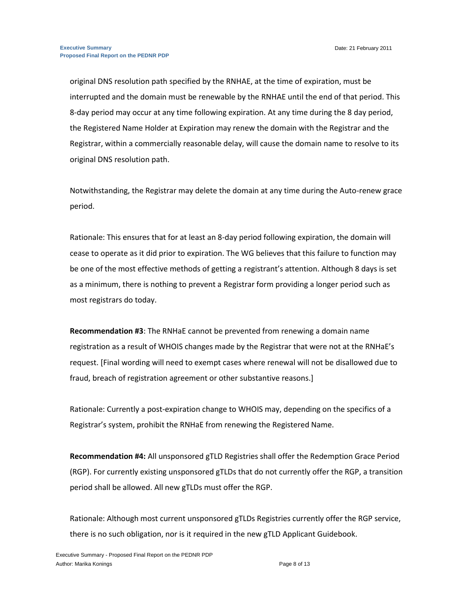original DNS resolution path specified by the RNHAE, at the time of expiration, must be interrupted and the domain must be renewable by the RNHAE until the end of that period. This 8-day period may occur at any time following expiration. At any time during the 8 day period, the Registered Name Holder at Expiration may renew the domain with the Registrar and the Registrar, within a commercially reasonable delay, will cause the domain name to resolve to its original DNS resolution path.

Notwithstanding, the Registrar may delete the domain at any time during the Auto-renew grace period.

Rationale: This ensures that for at least an 8-day period following expiration, the domain will cease to operate as it did prior to expiration. The WG believes that this failure to function may be one of the most effective methods of getting a registrant's attention. Although 8 days is set as a minimum, there is nothing to prevent a Registrar form providing a longer period such as most registrars do today.

**Recommendation #3**: The RNHaE cannot be prevented from renewing a domain name registration as a result of WHOIS changes made by the Registrar that were not at the RNHaE's request. [Final wording will need to exempt cases where renewal will not be disallowed due to fraud, breach of registration agreement or other substantive reasons.]

Rationale: Currently a post-expiration change to WHOIS may, depending on the specifics of a Registrar's system, prohibit the RNHaE from renewing the Registered Name.

**Recommendation #4:** All unsponsored gTLD Registries shall offer the Redemption Grace Period (RGP). For currently existing unsponsored gTLDs that do not currently offer the RGP, a transition period shall be allowed. All new gTLDs must offer the RGP.

Rationale: Although most current unsponsored gTLDs Registries currently offer the RGP service, there is no such obligation, nor is it required in the new gTLD Applicant Guidebook.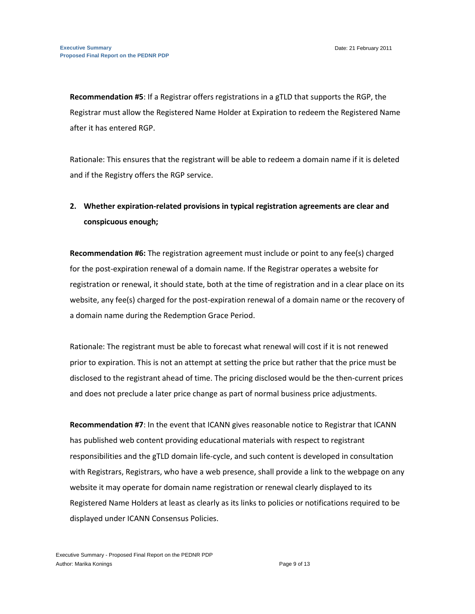**Recommendation #5**: If a Registrar offers registrations in a gTLD that supports the RGP, the Registrar must allow the Registered Name Holder at Expiration to redeem the Registered Name after it has entered RGP.

Rationale: This ensures that the registrant will be able to redeem a domain name if it is deleted and if the Registry offers the RGP service.

## **2. Whether expiration-related provisions in typical registration agreements are clear and conspicuous enough;**

**Recommendation #6:** The registration agreement must include or point to any fee(s) charged for the post-expiration renewal of a domain name. If the Registrar operates a website for registration or renewal, it should state, both at the time of registration and in a clear place on its website, any fee(s) charged for the post-expiration renewal of a domain name or the recovery of a domain name during the Redemption Grace Period.

Rationale: The registrant must be able to forecast what renewal will cost if it is not renewed prior to expiration. This is not an attempt at setting the price but rather that the price must be disclosed to the registrant ahead of time. The pricing disclosed would be the then-current prices and does not preclude a later price change as part of normal business price adjustments.

**Recommendation #7**: In the event that ICANN gives reasonable notice to Registrar that ICANN has published web content providing educational materials with respect to registrant responsibilities and the gTLD domain life-cycle, and such content is developed in consultation with Registrars, Registrars, who have a web presence, shall provide a link to the webpage on any website it may operate for domain name registration or renewal clearly displayed to its Registered Name Holders at least as clearly as its links to policies or notifications required to be displayed under ICANN Consensus Policies.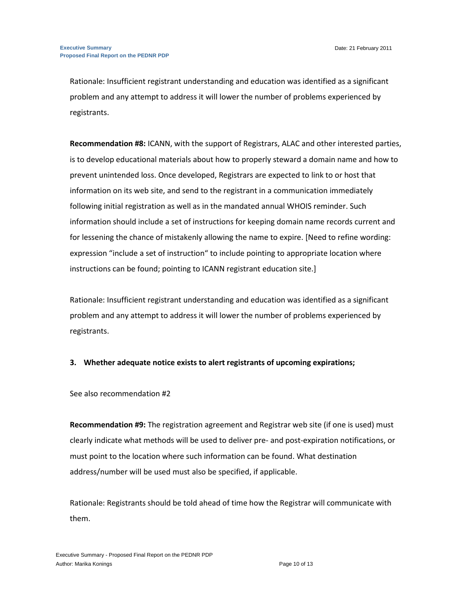Rationale: Insufficient registrant understanding and education was identified as a significant problem and any attempt to address it will lower the number of problems experienced by registrants.

**Recommendation #8:** ICANN, with the support of Registrars, ALAC and other interested parties, is to develop educational materials about how to properly steward a domain name and how to prevent unintended loss. Once developed, Registrars are expected to link to or host that information on its web site, and send to the registrant in a communication immediately following initial registration as well as in the mandated annual WHOIS reminder. Such information should include a set of instructions for keeping domain name records current and for lessening the chance of mistakenly allowing the name to expire. [Need to refine wording: expression "include a set of instruction" to include pointing to appropriate location where instructions can be found; pointing to ICANN registrant education site.]

Rationale: Insufficient registrant understanding and education was identified as a significant problem and any attempt to address it will lower the number of problems experienced by registrants.

#### **3. Whether adequate notice exists to alert registrants of upcoming expirations;**

See also recommendation #2

**Recommendation #9:** The registration agreement and Registrar web site (if one is used) must clearly indicate what methods will be used to deliver pre- and post-expiration notifications, or must point to the location where such information can be found. What destination address/number will be used must also be specified, if applicable.

Rationale: Registrants should be told ahead of time how the Registrar will communicate with them.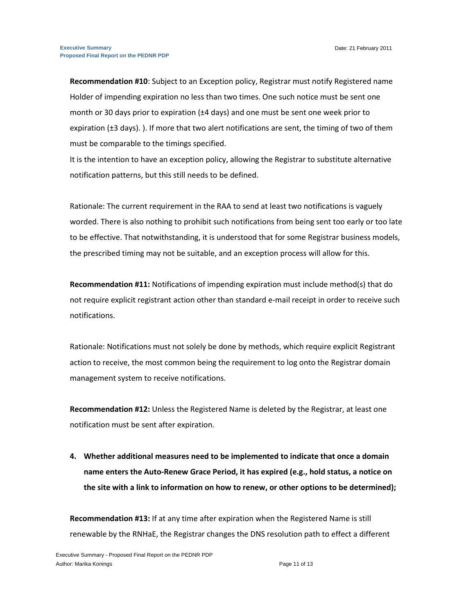**Recommendation #10**: Subject to an Exception policy, Registrar must notify Registered name Holder of impending expiration no less than two times. One such notice must be sent one month or 30 days prior to expiration  $(\pm 4 \text{ days})$  and one must be sent one week prior to expiration (±3 days). ). If more that two alert notifications are sent, the timing of two of them must be comparable to the timings specified.

It is the intention to have an exception policy, allowing the Registrar to substitute alternative notification patterns, but this still needs to be defined.

Rationale: The current requirement in the RAA to send at least two notifications is vaguely worded. There is also nothing to prohibit such notifications from being sent too early or too late to be effective. That notwithstanding, it is understood that for some Registrar business models, the prescribed timing may not be suitable, and an exception process will allow for this.

**Recommendation #11:** Notifications of impending expiration must include method(s) that do not require explicit registrant action other than standard e-mail receipt in order to receive such notifications.

Rationale: Notifications must not solely be done by methods, which require explicit Registrant action to receive, the most common being the requirement to log onto the Registrar domain management system to receive notifications.

**Recommendation #12:** Unless the Registered Name is deleted by the Registrar, at least one notification must be sent after expiration.

**4. Whether additional measures need to be implemented to indicate that once a domain name enters the Auto-Renew Grace Period, it has expired (e.g., hold status, a notice on the site with a link to information on how to renew, or other options to be determined);**

**Recommendation #13:** If at any time after expiration when the Registered Name is still renewable by the RNHaE, the Registrar changes the DNS resolution path to effect a different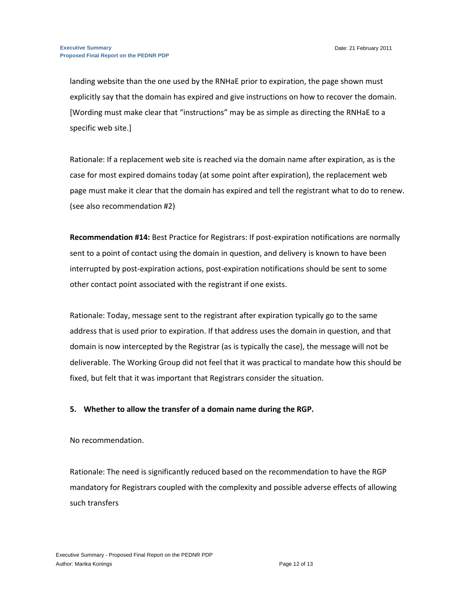landing website than the one used by the RNHaE prior to expiration, the page shown must explicitly say that the domain has expired and give instructions on how to recover the domain. [Wording must make clear that "instructions" may be as simple as directing the RNHaE to a specific web site.]

Rationale: If a replacement web site is reached via the domain name after expiration, as is the case for most expired domains today (at some point after expiration), the replacement web page must make it clear that the domain has expired and tell the registrant what to do to renew. (see also recommendation #2)

**Recommendation #14:** Best Practice for Registrars: If post-expiration notifications are normally sent to a point of contact using the domain in question, and delivery is known to have been interrupted by post-expiration actions, post-expiration notifications should be sent to some other contact point associated with the registrant if one exists.

Rationale: Today, message sent to the registrant after expiration typically go to the same address that is used prior to expiration. If that address uses the domain in question, and that domain is now intercepted by the Registrar (as is typically the case), the message will not be deliverable. The Working Group did not feel that it was practical to mandate how this should be fixed, but felt that it was important that Registrars consider the situation.

#### **5. Whether to allow the transfer of a domain name during the RGP.**

#### No recommendation.

Rationale: The need is significantly reduced based on the recommendation to have the RGP mandatory for Registrars coupled with the complexity and possible adverse effects of allowing such transfers